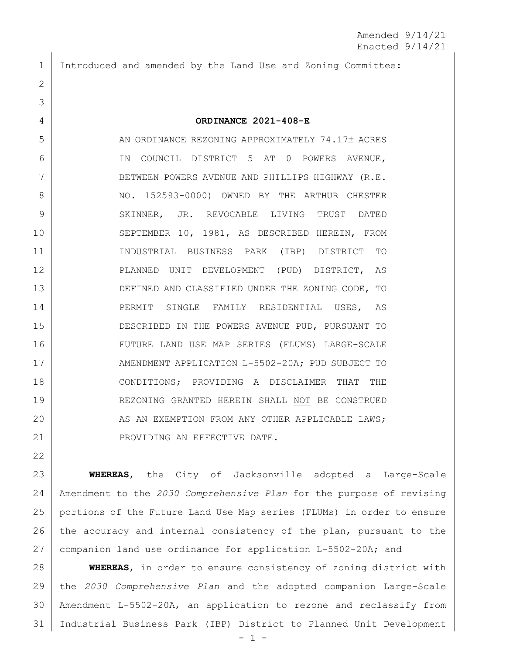Introduced and amended by the Land Use and Zoning Committee:

## **ORDINANCE 2021-408-E**

5 AN ORDINANCE REZONING APPROXIMATELY 74.17± ACRES IN COUNCIL DISTRICT 5 AT 0 POWERS AVENUE, 7 BETWEEN POWERS AVENUE AND PHILLIPS HIGHWAY (R.E. 8 NO. 152593-0000) OWNED BY THE ARTHUR CHESTER 9 SKINNER, JR. REVOCABLE LIVING TRUST DATED SEPTEMBER 10, 1981, AS DESCRIBED HEREIN, FROM INDUSTRIAL BUSINESS PARK (IBP) DISTRICT TO PLANNED UNIT DEVELOPMENT (PUD) DISTRICT, AS 13 DEFINED AND CLASSIFIED UNDER THE ZONING CODE, TO PERMIT SINGLE FAMILY RESIDENTIAL USES, AS DESCRIBED IN THE POWERS AVENUE PUD, PURSUANT TO FUTURE LAND USE MAP SERIES (FLUMS) LARGE-SCALE 17 AMENDMENT APPLICATION L-5502-20A; PUD SUBJECT TO CONDITIONS; PROVIDING A DISCLAIMER THAT THE REZONING GRANTED HEREIN SHALL NOT BE CONSTRUED 20 AS AN EXEMPTION FROM ANY OTHER APPLICABLE LAWS; 21 | PROVIDING AN EFFECTIVE DATE.

 **WHEREAS**, the City of Jacksonville adopted a Large-Scale Amendment to the *2030 Comprehensive Plan* for the purpose of revising portions of the Future Land Use Map series (FLUMs) in order to ensure 26 the accuracy and internal consistency of the plan, pursuant to the companion land use ordinance for application L-5502-20A; and

 **WHEREAS**, in order to ensure consistency of zoning district with the *2030 Comprehensive Plan* and the adopted companion Large-Scale Amendment L-5502-20A, an application to rezone and reclassify from Industrial Business Park (IBP) District to Planned Unit Development

 $-1 -$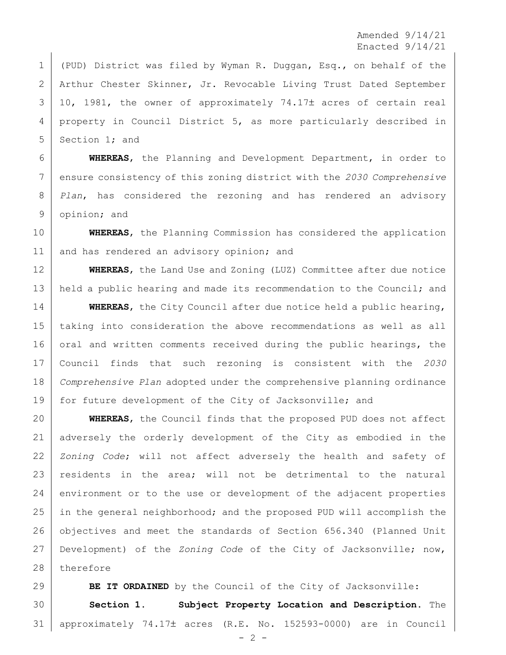Amended 9/14/21 Enacted 9/14/21

 (PUD) District was filed by Wyman R. Duggan, Esq., on behalf of the Arthur Chester Skinner, Jr. Revocable Living Trust Dated September 3 | 10, 1981, the owner of approximately 74.17± acres of certain real property in Council District 5, as more particularly described in 5 Section 1; and

 **WHEREAS**, the Planning and Development Department, in order to ensure consistency of this zoning district with the *2030 Comprehensive Plan*, has considered the rezoning and has rendered an advisory opinion; and

 **WHEREAS**, the Planning Commission has considered the application 11 and has rendered an advisory opinion; and

 **WHEREAS**, the Land Use and Zoning (LUZ) Committee after due notice 13 | held a public hearing and made its recommendation to the Council; and

 **WHEREAS**, the City Council after due notice held a public hearing, taking into consideration the above recommendations as well as all 16 oral and written comments received during the public hearings, the Council finds that such rezoning is consistent with the *2030 Comprehensive Plan* adopted under the comprehensive planning ordinance 19 | for future development of the City of Jacksonville; and

 **WHEREAS**, the Council finds that the proposed PUD does not affect adversely the orderly development of the City as embodied in the *Zoning Code*; will not affect adversely the health and safety of residents in the area; will not be detrimental to the natural 24 environment or to the use or development of the adjacent properties in the general neighborhood; and the proposed PUD will accomplish the objectives and meet the standards of Section 656.340 (Planned Unit Development) of the *Zoning Code* of the City of Jacksonville; now, 28 therefore

**BE IT ORDAINED** by the Council of the City of Jacksonville: **Section 1. Subject Property Location and Description.** The approximately 74.17 acres (R.E. No. 152593-0000) are in Council

 $- 2 -$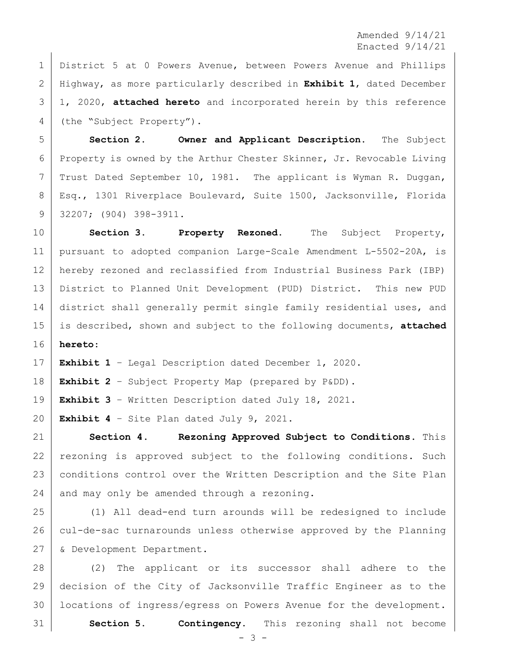Amended 9/14/21 Enacted 9/14/21

 District 5 at 0 Powers Avenue, between Powers Avenue and Phillips Highway, as more particularly described in **Exhibit 1**, dated December 1, 2020, **attached hereto** and incorporated herein by this reference 4 (the "Subject Property").

 **Section 2. Owner and Applicant Description.** The Subject Property is owned by the Arthur Chester Skinner, Jr. Revocable Living 7 | Trust Dated September 10, 1981. The applicant is Wyman R. Duggan, 8 | Esq., 1301 Riverplace Boulevard, Suite 1500, Jacksonville, Florida 32207; (904) 398-3911.

 **Section 3. Property Rezoned.** The Subject Property, pursuant to adopted companion Large-Scale Amendment L-5502-20A, is hereby rezoned and reclassified from Industrial Business Park (IBP) District to Planned Unit Development (PUD) District. This new PUD 14 district shall generally permit single family residential uses, and is described, shown and subject to the following documents, **attached hereto**:

**Exhibit 1** – Legal Description dated December 1, 2020.

**Exhibit 2** – Subject Property Map (prepared by P&DD).

**Exhibit 3** – Written Description dated July 18, 2021.

**Exhibit 4** – Site Plan dated July 9, 2021.

 **Section 4. Rezoning Approved Subject to Conditions.** This rezoning is approved subject to the following conditions. Such conditions control over the Written Description and the Site Plan and may only be amended through a rezoning.

 (1) All dead-end turn arounds will be redesigned to include cul-de-sac turnarounds unless otherwise approved by the Planning & Development Department.

 (2) The applicant or its successor shall adhere to the decision of the City of Jacksonville Traffic Engineer as to the 30 | locations of ingress/egress on Powers Avenue for the development. **Section 5. Contingency.** This rezoning shall not become